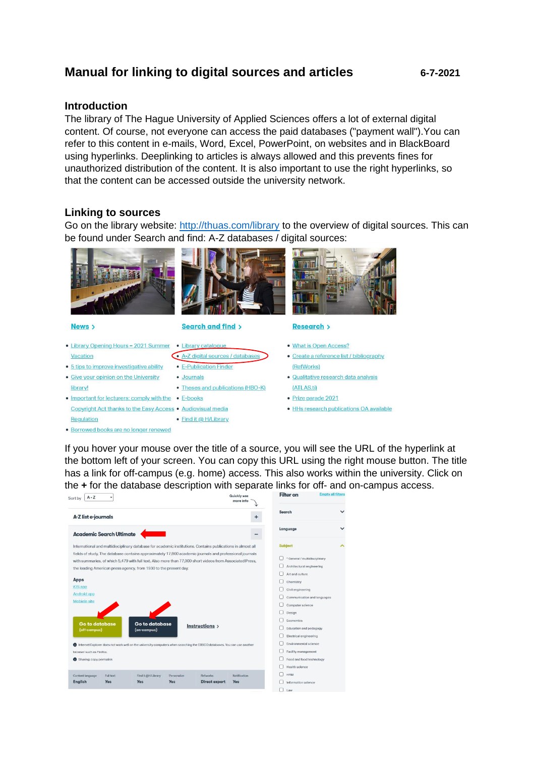# **Manual for linking to digital sources and articles 6-7-2021**

### **Introduction**

The library of The Hague University of Applied Sciences offers a lot of external digital content. Of course, not everyone can access the paid databases ("payment wall").You can refer to this content in e-mails, Word, Excel, PowerPoint, on websites and in BlackBoard using hyperlinks. Deeplinking to articles is always allowed and this prevents fines for unauthorized distribution of the content. It is also important to use the right hyperlinks, so that the content can be accessed outside the university network.

### **Linking to sources**

Go on the library website:<http://thuas.com/library> to the overview of digital sources. This can be found under Search and find: A-Z databases / digital sources:



News >

- 
- Library Opening Hours 2021 Summer . Library catalogue Vacation
- 5 tips to improve investigative ability E-Publication Finder
- · Give your opinion on the University library!
- Important for lecturers: comply with the . E-books Copyright Act thanks to the Easy Access . Audiovisual media Regulation · Find it @ H/Library
- · Borrowed books are no longer renewed



#### Search and find >





#### **Research** >

- What is Open Access? · Create a reference list / bibliography (RefWorks)
- · Qualitative research data analysis (ATLAS.ti)
- · Prize parade 2021
- · HHs research publications OA available

If you hover your mouse over the title of a source, you will see the URL of the hyperlink at the bottom left of your screen. You can copy this URL using the right mouse button. The title has a link for off-campus (e.g. home) access. This also works within the university. Click on the **+** for the database description with separate links for off- and on-campus access.

| $A - Z$<br>Sort by                                                                                                                                                                                                                                                                                                                                                                                                                       |                                      |                           |                                         | Quickly see<br>more info   | <b>Filter on</b>                                                                                                                                                 | <b>Empty all filters</b> |
|------------------------------------------------------------------------------------------------------------------------------------------------------------------------------------------------------------------------------------------------------------------------------------------------------------------------------------------------------------------------------------------------------------------------------------------|--------------------------------------|---------------------------|-----------------------------------------|----------------------------|------------------------------------------------------------------------------------------------------------------------------------------------------------------|--------------------------|
| A-Z list e-journals                                                                                                                                                                                                                                                                                                                                                                                                                      |                                      |                           |                                         | $\ddot{}$                  | Search                                                                                                                                                           | $\checkmark$             |
| <b>Academic Search Ultimate</b>                                                                                                                                                                                                                                                                                                                                                                                                          |                                      |                           |                                         |                            | Language                                                                                                                                                         | $\check{ }$              |
| International and multidisciplinary database for academic institutions. Contains publications in almost all<br>fields of study. The database contains approximately 17,800 academic journals and professional journals<br>with summaries, of which 5,479 with full text. Also more than 77,000 short videos from Associated Press,<br>the leading American press agency, from 1930 to the present day.<br>Apps<br>iOS app<br>Android app |                                      |                           |                                         |                            | <b>Subject</b><br>* General / multidisciplinary<br>Architectural engineering<br>Art and culture<br>Chemistry<br>Civil engineering<br>Communication and languages | ㅅ                        |
| Mobiele site<br>Go to database<br>(off-campus)<br>nternet Explorer does not work well on the university computers when searching the EBSCO databases. You can use another                                                                                                                                                                                                                                                                | <b>Go to database</b><br>(on-campus) |                           | Instructions >                          |                            | Computer science<br>Design<br>Economics<br>Education and pedagogy<br>Electrical engineering<br>Environmental science                                             |                          |
| browser such as Firefox.<br>Sharing: copy permalink                                                                                                                                                                                                                                                                                                                                                                                      |                                      |                           |                                         |                            | Facility management<br>Food and food technology<br>Health science                                                                                                |                          |
| Content language<br>Full text<br>English<br><b>Yes</b>                                                                                                                                                                                                                                                                                                                                                                                   | Find it @H/Library<br><b>Yes</b>     | Personalize<br><b>Yes</b> | <b>Refworks</b><br><b>Direct export</b> | Notification<br><b>Yes</b> | <b>HRM</b><br>Information science<br>Law                                                                                                                         |                          |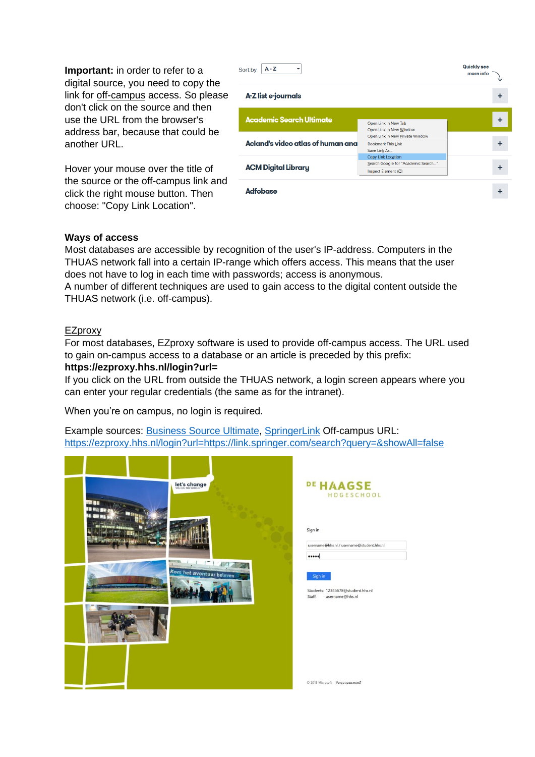**Important:** in order to refer to a digital source, you need to copy the link for off-campus access. So please don't click on the source and then use the URL from the browser's address bar, because that could be another URL.

Hover your mouse over the title of the source or the off-campus link and click the right mouse button. Then choose: "Copy Link Location".

| $A - Z$<br>Sort by<br>▼           |                                                                                         | Quickly see<br>more info |
|-----------------------------------|-----------------------------------------------------------------------------------------|--------------------------|
| A-Z list e-journals               |                                                                                         |                          |
| <b>Academic Search Ultimate</b>   | Open Link in New Tab<br>Open Link in New Window                                         |                          |
| Acland's video atlas of human ana | Open Link in New Private Window<br><b>Bookmark This Link</b><br>Save Link As            |                          |
| <b>ACM Digital Library</b>        | <b>Copy Link Location</b><br>Search Google for "Academic Search"<br>Inspect Element (Q) |                          |
| <b>Adfobase</b>                   |                                                                                         |                          |

### **Ways of access**

Most databases are accessible by recognition of the user's IP-address. Computers in the THUAS network fall into a certain IP-range which offers access. This means that the user does not have to log in each time with passwords; access is anonymous.

A number of different techniques are used to gain access to the digital content outside the THUAS network (i.e. off-campus).

### EZproxy

For most databases, EZproxy software is used to provide off-campus access. The URL used to gain on-campus access to a database or an article is preceded by this prefix:

#### **https://ezproxy.hhs.nl/login?url=**

If you click on the URL from outside the THUAS network, a login screen appears where you can enter your regular credentials (the same as for the intranet).

When you're on campus, no login is required.

Example sources: [Business Source Ultimate,](https://ezproxy.hhs.nl/login?url=https://search.ebscohost.com/login.aspx?authtype=ip,uid&profile=ehost&defaultdb=bsu) [SpringerLink](https://ezproxy.hhs.nl/login?url=https://link.springer.com/search?query=&showAll=false) Off-campus URL: https://ezproxy.hhs.nl/login?url=https://link.springer.com/search?query=&showAll=false

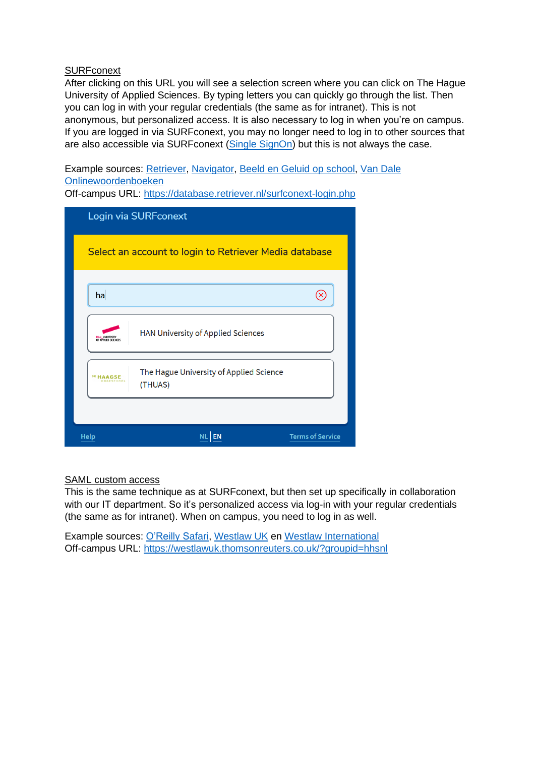### **SURFconext**

After clicking on this URL you will see a selection screen where you can click on The Hague University of Applied Sciences. By typing letters you can quickly go through the list. Then you can log in with your regular credentials (the same as for intranet). This is not anonymous, but personalized access. It is also necessary to log in when you're on campus. If you are logged in via SURFconext, you may no longer need to log in to other sources that are also accessible via SURFconext [\(Single SignOn\)](https://en.wikipedia.org/wiki/Single_sign-on) but this is not always the case.

Example sources: [Retriever,](https://database.retriever.nl/surfconext-login.php) [Navigator,](https://www.navigator.nl/?idp=https://engine.surfconext.nl/authentication/idp/metadata) [Beeld en Geluid op school,](https://www.beeldengeluidopschool.nl/surf/?redirect=https://www.beeldengeluidopschool.nl/#/home) [Van Dale](https://www.vandale.nl/zoeken/profile/managesurfconextprocess.do)  [Onlinewoordenboeken](https://www.vandale.nl/zoeken/profile/managesurfconextprocess.do)

Off-campus URL:<https://database.retriever.nl/surfconext-login.php>

|                                       | Login via SURFconext                                   |                         |
|---------------------------------------|--------------------------------------------------------|-------------------------|
|                                       | Select an account to login to Retriever Media database |                         |
| ha                                    |                                                        |                         |
| HAN UNIVERSITY<br>OF APPLIED SCIENCES | HAN University of Applied Sciences                     |                         |
| <sup>DE</sup> HAAGSE                  | The Hague University of Applied Science<br>(THUAS)     |                         |
|                                       |                                                        |                         |
| <b>Help</b>                           |                                                        | <b>Terms of Service</b> |

### SAML custom access

This is the same technique as at SURFconext, but then set up specifically in collaboration with our IT department. So it's personalized access via log-in with your regular credentials (the same as for intranet). When on campus, you need to log in as well.

Example sources: [O'Reilly Safari,](https://go.oreilly.com/haagse-hogeschool) [Westlaw UK](https://westlawuk.thomsonreuters.co.uk/?groupid=hhsnl) en [Westlaw International](http://www.westlaw.com/?groupid=hhsnl) Off-campus URL: <https://westlawuk.thomsonreuters.co.uk/?groupid=hhsnl>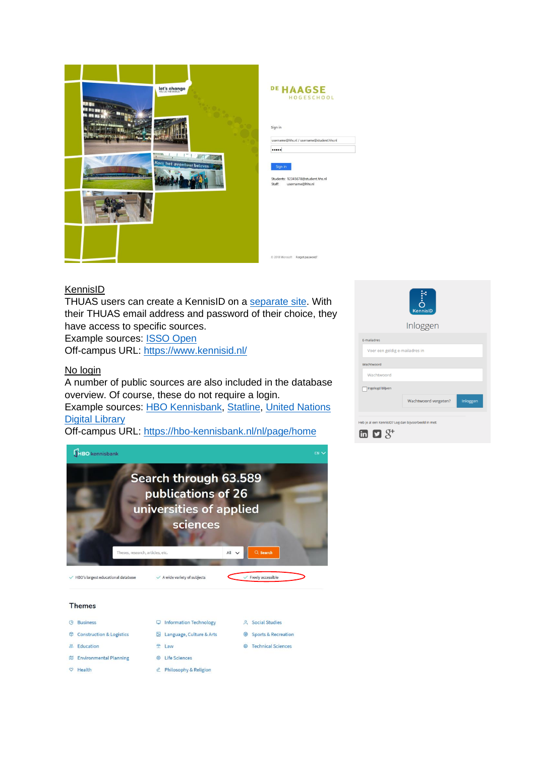

| Sign in |                                           |
|---------|-------------------------------------------|
|         | username@hhs.nl / username@student.hhs.nl |
|         |                                           |
|         |                                           |
| Sign in |                                           |
|         | Students: 12345678@student.hhs.nl         |
|         | Staff: username@hhs.nl                    |
|         |                                           |

## **KennisID**

THUAS users can create a KennisID on a [separate site.](https://www.kennisid.nl/Portaal/haagsehogeschool) With their THUAS email address and password of their choice, they have access to specific sources.

Example sources: [ISSO Open](https://open.isso.nl/) Off-campus URL:<https://www.kennisid.nl/>

### No login

A number of public sources are also included in the database overview. Of course, these do not require a login. Example sources: [HBO Kennisbank,](https://hbo-kennisbank.nl/nl/page/home) [Statline,](https://opendata.cbs.nl/statline/#/CBS/nl/) [United Nations](https://digitallibrary.un.org/)  [Digital Library](https://digitallibrary.un.org/)

Off-campus URL:<https://hbo-kennisbank.nl/nl/page/home>



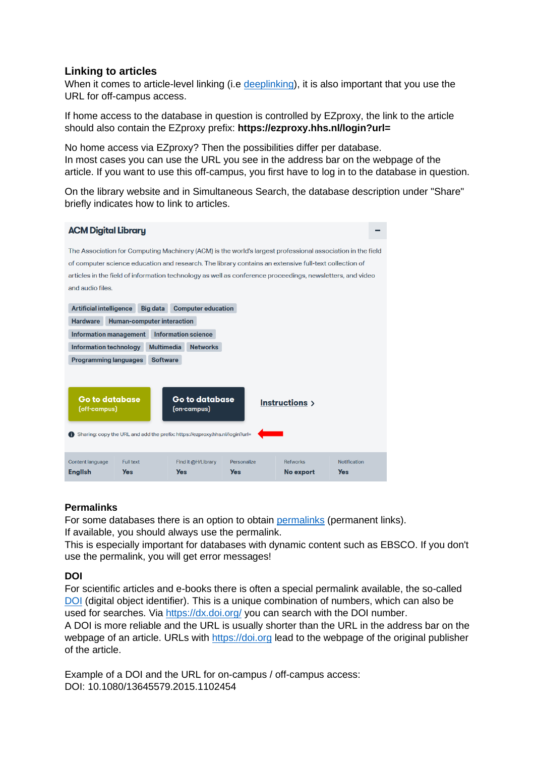# **Linking to articles**

When it comes to article-level linking (i.e [deeplinking](https://nl.wikipedia.org/wiki/Dieplinken)), it is also important that you use the URL for off-campus access.

If home access to the database in question is controlled by EZproxy, the link to the article should also contain the EZproxy prefix: **https://ezproxy.hhs.nl/login?url=**

No home access via EZproxy? Then the possibilities differ per database. In most cases you can use the URL you see in the address bar on the webpage of the article. If you want to use this off-campus, you first have to log in to the database in question.

On the library website and in Simultaneous Search, the database description under "Share" briefly indicates how to link to articles.



### **Permalinks**

For some databases there is an option to obtain [permalinks](https://nl.wikipedia.org/wiki/Permalink) (permanent links). If available, you should always use the permalink.

This is especially important for databases with dynamic content such as EBSCO. If you don't use the permalink, you will get error messages!

### **DOI**

For scientific articles and e-books there is often a special permalink available, the so-called [DOI](https://nl.wikipedia.org/wiki/Digital_object_identifier) (digital object identifier). This is a unique combination of numbers, which can also be used for searches. Via<https://dx.doi.org/> you can search with the DOI number.

A DOI is more reliable and the URL is usually shorter than the URL in the address bar on the webpage of an article. URLs with [https://doi.org](https://doi.org/) lead to the webpage of the original publisher of the article.

Example of a DOI and the URL for on-campus / off-campus access: DOI: 10.1080/13645579.2015.1102454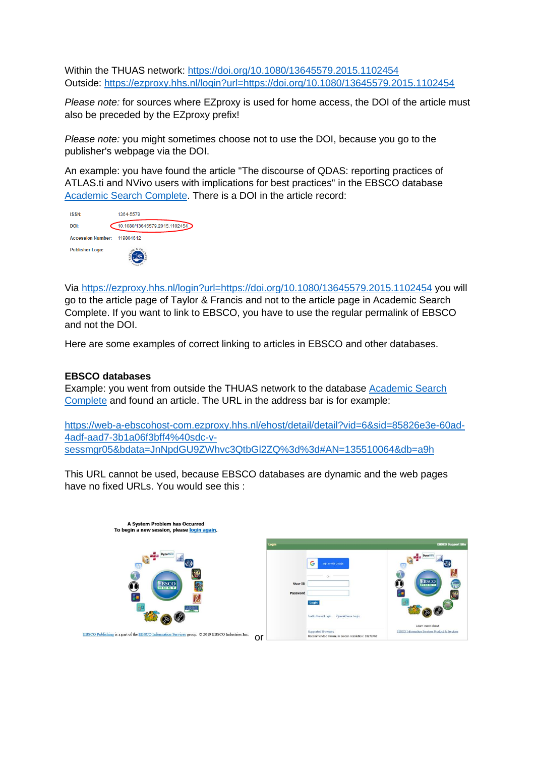Within the THUAS network: <https://doi.org/10.1080/13645579.2015.1102454> Outside: <https://ezproxy.hhs.nl/login?url=https://doi.org/10.1080/13645579.2015.1102454>

*Please note:* for sources where EZproxy is used for home access, the DOI of the article must also be preceded by the EZproxy prefix!

*Please note:* you might sometimes choose not to use the DOI, because you go to the publisher's webpage via the DOI.

An example: you have found the article "The discourse of QDAS: reporting practices of ATLAS.ti and NVivo users with implications for best practices" in the EBSCO database [Academic Search Complete.](https://ezproxy.hhs.nl/login?url=https://search.ebscohost.com/login.aspx?authtype=ip,uid&profile=ehost&defaultdb=a9h) There is a DOI in the article record:

| <b>ISSN:</b>                | 1364-5579                     |
|-----------------------------|-------------------------------|
| DOI:                        | 10.1080/13645579.2015.1102454 |
| Accession Number: 119804612 |                               |
| <b>Publisher Logo:</b>      |                               |

Via<https://ezproxy.hhs.nl/login?url=https://doi.org/10.1080/13645579.2015.1102454> you will go to the article page of Taylor & Francis and not to the article page in Academic Search Complete. If you want to link to EBSCO, you have to use the regular permalink of EBSCO and not the DOI.

Here are some examples of correct linking to articles in EBSCO and other databases.

#### **EBSCO databases**

Example: you went from outside the THUAS network to the database [Academic Search](https://ezproxy.hhs.nl/login?url=https://search.ebscohost.com/login.aspx?authtype=ip,uid&profile=ehost&defaultdb=a9h)  [Complete](https://ezproxy.hhs.nl/login?url=https://search.ebscohost.com/login.aspx?authtype=ip,uid&profile=ehost&defaultdb=a9h) and found an article. The URL in the address bar is for example:

[https://web-a-ebscohost-com.ezproxy.hhs.nl/ehost/detail/detail?vid=6&sid=85826e3e-60ad-](https://web-a-ebscohost-com.ezproxy.hhs.nl/ehost/detail/detail?vid=6&sid=85826e3e-60ad-4adf-aad7-3b1a06f3bff4%40sdc-v-sessmgr05&bdata=JnNpdGU9ZWhvc3QtbGl2ZQ%3d%3d#AN=135510064&db=a9h)[4adf-aad7-3b1a06f3bff4%40sdc-v](https://web-a-ebscohost-com.ezproxy.hhs.nl/ehost/detail/detail?vid=6&sid=85826e3e-60ad-4adf-aad7-3b1a06f3bff4%40sdc-v-sessmgr05&bdata=JnNpdGU9ZWhvc3QtbGl2ZQ%3d%3d#AN=135510064&db=a9h)[sessmgr05&bdata=JnNpdGU9ZWhvc3QtbGl2ZQ%3d%3d#AN=135510064&db=a9h](https://web-a-ebscohost-com.ezproxy.hhs.nl/ehost/detail/detail?vid=6&sid=85826e3e-60ad-4adf-aad7-3b1a06f3bff4%40sdc-v-sessmgr05&bdata=JnNpdGU9ZWhvc3QtbGl2ZQ%3d%3d#AN=135510064&db=a9h)

This URL cannot be used, because EBSCO databases are dynamic and the web pages have no fixed URLs. You would see this :

| A System Problem has Occurred<br>To begin a new session, please login again.                           |                     |                                                                                             |                                                                                    |
|--------------------------------------------------------------------------------------------------------|---------------------|---------------------------------------------------------------------------------------------|------------------------------------------------------------------------------------|
|                                                                                                        |                     |                                                                                             | <b>EBSCO Support Site</b>                                                          |
| <b>DynaMed</b><br>EBSCO <sub>UTOS</sub>                                                                | User ID<br>Password | G<br>Sign in with Google<br>Csr.<br>Login<br>OpenAthens Login<br><b>Institutional Login</b> | <b>Dyna!</b><br>7<br>$\overline{\mathbb{G}}$<br>EBSCO<br>ਜ਼ਿੰਦ<br>Learn more about |
| EBSCO Publishing is a part of the EBSCO Information Services group. © 2019 EBSCO Industries Inc.<br>or |                     | <b>Supported Browsers</b><br>Recommended minimum screen resolution: 1024x768                | <b>EBSCO Information Services Product &amp; Services</b>                           |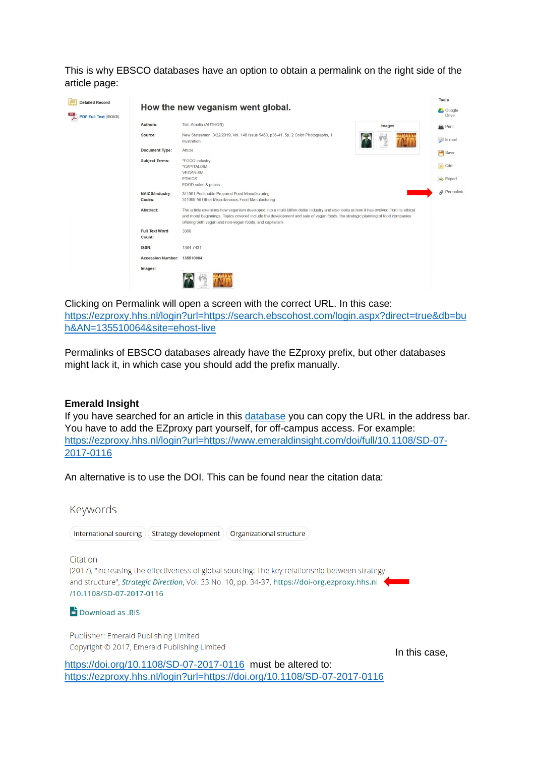This is why EBSCO databases have an option to obtain a permalink on the right side of the article page:

| <b>Detailed Record</b> |                                 |                                                                                                                                                                                                                                                                                                                                      |        | <b>Tools</b>           |
|------------------------|---------------------------------|--------------------------------------------------------------------------------------------------------------------------------------------------------------------------------------------------------------------------------------------------------------------------------------------------------------------------------------|--------|------------------------|
| PDF Full Text (693KB)  |                                 | How the new veganism went global.                                                                                                                                                                                                                                                                                                    |        | Google<br><b>Drive</b> |
|                        | Authors:                        | Tait, Amelia (AUTHOR)                                                                                                                                                                                                                                                                                                                | Images | Print                  |
|                        | Source:                         | New Statesman, 3/22/2019, Vol. 148 Issue 5463, p36-41, 5p. 2 Color Photographs, 1<br>Illustration.                                                                                                                                                                                                                                   |        | E-mail                 |
|                        | Document Type:                  | Article                                                                                                                                                                                                                                                                                                                              |        | Save                   |
|                        | <b>Subject Terms:</b>           | *FOOD industry<br><i><b>*CAPITALISM</b></i><br><b>VEGANISM</b>                                                                                                                                                                                                                                                                       |        | <b>Cite</b>            |
|                        |                                 | <b>ETHICS</b><br>FOOD sales & prices                                                                                                                                                                                                                                                                                                 |        | Export                 |
|                        | <b>NAICS/Industry</b><br>Codes: | 311991 Perishable Prepared Food Manufacturing<br>311999 All Other Miscellaneous Food Manufacturing                                                                                                                                                                                                                                   |        | $\rho$ Permalink       |
|                        | Abstract:                       | The article examines how veganism developed into a multi-billion dollar industry and also looks at how it has evolved from its ethical<br>and moral beginnings. Topics covered include the development and sale of vegan foods, the strategic planning of food companies<br>offering both vegan and non-vegan foods, and capitalism. |        |                        |
|                        | <b>Full Text Word</b><br>Count: | 3300                                                                                                                                                                                                                                                                                                                                 |        |                        |
|                        | ISSN:                           | 1364-7431                                                                                                                                                                                                                                                                                                                            |        |                        |
|                        | Accession Number: 135510064     |                                                                                                                                                                                                                                                                                                                                      |        |                        |
|                        | Images:                         |                                                                                                                                                                                                                                                                                                                                      |        |                        |

Clicking on Permalink will open a screen with the correct URL. In this case: [https://ezproxy.hhs.nl/login?url=https://search.ebscohost.com/login.aspx?direct=true&db=bu](https://ezproxy.hhs.nl/login?url=https://search.ebscohost.com/login.aspx?direct=true&db=buh&AN=135510064&site=ehost-live) [h&AN=135510064&site=ehost-live](https://ezproxy.hhs.nl/login?url=https://search.ebscohost.com/login.aspx?direct=true&db=buh&AN=135510064&site=ehost-live)

Permalinks of EBSCO databases already have the EZproxy prefix, but other databases might lack it, in which case you should add the prefix manually.

#### **Emerald Insight**

If you have searched for an article in this [database](https://ezproxy.hhs.nl/login?url=https://www.emerald.com/insight/advanced-search) you can copy the URL in the address bar. You have to add the EZproxy part yourself, for off-campus access. For example: [https://ezproxy.hhs.nl/login?url=https://www.emeraldinsight.com/doi/full/10.1108/SD-07-](https://ezproxy.hhs.nl/login?url=https://www.emeraldinsight.com/doi/full/10.1108/SD-07-2017-0116) [2017-0116](https://ezproxy.hhs.nl/login?url=https://www.emeraldinsight.com/doi/full/10.1108/SD-07-2017-0116)

An alternative is to use the DOI. This can be found near the citation data:

Keywords

International sourcing  $)($  Strategy development  $)($  Organizational structure  $)$ 

Citation

(2017), "Increasing the effectiveness of global sourcing: The key relationship between strategy and structure", *Strategic Direction*, Vol. 33 No. 10, pp. 34-37. https://doi-org.ezproxy.hhs.nl /10.1108/SD-07-2017-0116

### $\overrightarrow{=}$  Download as .RIS

Publisher: Emerald Publishing Limited Copyright © 2017, Emerald Publishing Limited

In this case,

<https://doi.org/10.1108/SD-07-2017-0116> must be altered to: <https://ezproxy.hhs.nl/login?url=https://doi.org/10.1108/SD-07-2017-0116>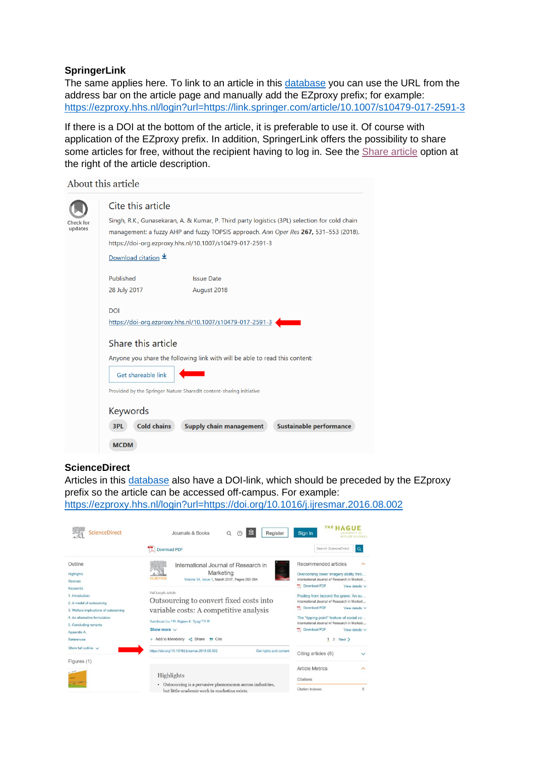### **SpringerLink**

The same applies here. To link to an article in this [database](https://ezproxy.hhs.nl/login?url=https://link.springer.com/search?query=&showAll=false) you can use the URL from the address bar on the article page and manually add the EZproxy prefix; for example: <https://ezproxy.hhs.nl/login?url=https://link.springer.com/article/10.1007/s10479-017-2591-3>

If there is a DOI at the bottom of the article, it is preferable to use it. Of course with application of the EZproxy prefix. In addition, SpringerLink offers the possibility to share some articles for free, without the recipient having to log in. See the [Share article](https://www.springernature.com/gp/researchers/sharedit) option at the right of the article description.

|         | About this article                                                                                                                                                                                                                                |  |  |  |  |
|---------|---------------------------------------------------------------------------------------------------------------------------------------------------------------------------------------------------------------------------------------------------|--|--|--|--|
|         | Cite this article                                                                                                                                                                                                                                 |  |  |  |  |
| updates | Singh, R.K., Gunasekaran, A. & Kumar, P. Third party logistics (3PL) selection for cold chain<br>management: a fuzzy AHP and fuzzy TOPSIS approach. Ann Oper Res 267, 531–553 (2018).<br>https://doi-org.ezproxy.hhs.nl/10.1007/s10479-017-2591-3 |  |  |  |  |
|         | Download citation $\pm$                                                                                                                                                                                                                           |  |  |  |  |
|         | Published<br><b>Issue Date</b><br>28 July 2017<br>August 2018                                                                                                                                                                                     |  |  |  |  |
|         | <b>DOI</b><br>https://doi-org.ezproxy.hhs.nl/10.1007/s10479-017-2591-3                                                                                                                                                                            |  |  |  |  |
|         | Share this article                                                                                                                                                                                                                                |  |  |  |  |
|         | Anyone you share the following link with will be able to read this content:                                                                                                                                                                       |  |  |  |  |
|         | Get shareable link                                                                                                                                                                                                                                |  |  |  |  |
|         | Provided by the Springer Nature SharedIt content-sharing initiative                                                                                                                                                                               |  |  |  |  |
|         | Keywords                                                                                                                                                                                                                                          |  |  |  |  |
|         | <b>Cold chains</b><br>Supply chain management<br><b>Sustainable performance</b><br>3PL                                                                                                                                                            |  |  |  |  |
|         | <b>MCDM</b>                                                                                                                                                                                                                                       |  |  |  |  |

### **ScienceDirect**

Articles in this [database](https://ezproxy.hhs.nl/login?url=https://www.sciencedirect.com/science/search) also have a DOI-link, which should be preceded by the EZproxy prefix so the article can be accessed off-campus. For example: <https://ezproxy.hhs.nl/login?url=https://doi.org/10.1016/j.ijresmar.2016.08.002>

| <b>ScienceDirect</b>                                                                               | 血<br>Journals & Books<br>Register<br>7<br>Q                                                                            | Sign in<br><b>APPLIED SCIENCES</b>                                                                                                                                                                                      |  |
|----------------------------------------------------------------------------------------------------|------------------------------------------------------------------------------------------------------------------------|-------------------------------------------------------------------------------------------------------------------------------------------------------------------------------------------------------------------------|--|
|                                                                                                    | Download PDF                                                                                                           | Search ScienceDirect<br>$\alpha$                                                                                                                                                                                        |  |
| Outline<br>Highlights<br>Abstract                                                                  | International Journal of Research in<br>Marketing<br><b>EL SEVIER</b><br>Volume 34, Issue 1, March 2017, Pages 252-264 | Recommended articles<br>$\wedge$<br>Overcoming lower imagery ability thro<br>International Journal of Research in Marketi<br><b>Download PDF</b><br>View details $\vee$                                                 |  |
| Keywords<br>1. Introduction<br>2. A model of outsourcing<br>3. Welfare implications of outsourcing | Full Length Article<br>Outsourcing to convert fixed costs into<br>variable costs: A competitive analysis               | Posting from beyond the grave: An au<br>International Journal of Research in Marketi<br>Download PDF<br>View details $\vee$<br>The "tipping point" feature of social co<br>International Journal of Research in Marketi |  |
| 4 An alternative formulation<br>5. Concluding remarks                                              | Yunchuan Liu <sup>a ga</sup> , Rajeev K. Tyagi <sup>b g ga</sup>                                                       |                                                                                                                                                                                                                         |  |
| Appendix A.                                                                                        | Show more $\vee$                                                                                                       | <b>Download PDF</b><br>View details $\vee$                                                                                                                                                                              |  |
| References                                                                                         | + Add to Mendeley < Share " Cite                                                                                       | $12$ Next >                                                                                                                                                                                                             |  |
| Show full outline $\sqrt{}$                                                                        | https://doi.org/10.1016/j.ijresmar.2016.08.002<br>Get rights and content                                               | Citing articles (6)                                                                                                                                                                                                     |  |
| Figures (1)                                                                                        |                                                                                                                        |                                                                                                                                                                                                                         |  |
|                                                                                                    | Highlights                                                                                                             | <b>Article Metrics</b><br>$\wedge$<br>Citations                                                                                                                                                                         |  |
|                                                                                                    | Outsourcing is a pervasive phenomenon across industries,<br>but little academic work in marketing exists.              | Citation Indexes:<br>6                                                                                                                                                                                                  |  |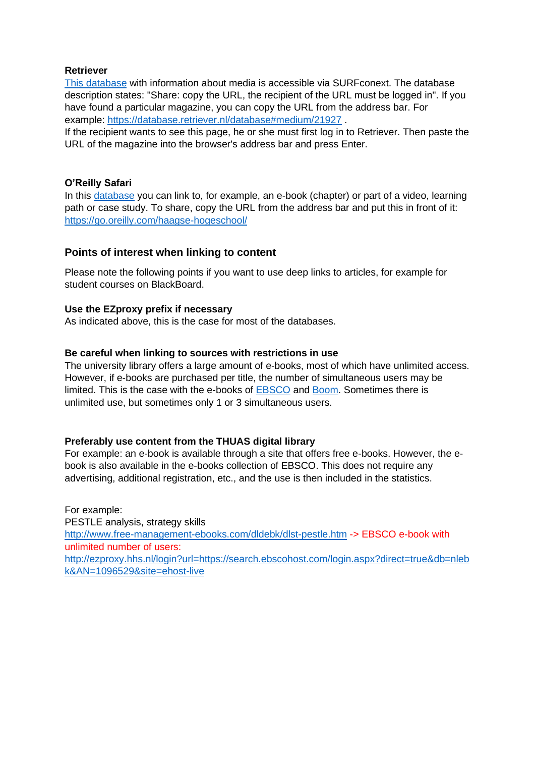### **Retriever**

[This database](https://database.retriever.nl/surfconext-login.php) with information about media is accessible via SURFconext. The database description states: "Share: copy the URL, the recipient of the URL must be logged in". If you have found a particular magazine, you can copy the URL from the address bar. For example:<https://database.retriever.nl/database#medium/21927> .

If the recipient wants to see this page, he or she must first log in to Retriever. Then paste the URL of the magazine into the browser's address bar and press Enter.

### **O'Reilly Safari**

In this [database](https://safarijv.auth0.com/authorize?client_id=UtNi1m1IRXgzYFIwZrhSxell9EDRaL2v&response_type=code&redirect_uri=https%3A%2F%2Flearning.oreilly.com%2Fcomplete%2Fauth0%2Doauth2%2F&connection=haagse-hogeschool&state=/home/) you can link to, for example, an e-book (chapter) or part of a video, learning path or case study. To share, copy the URL from the address bar and put this in front of it: <https://go.oreilly.com/haagse-hogeschool/>

### **Points of interest when linking to content**

Please note the following points if you want to use deep links to articles, for example for student courses on BlackBoard.

### **Use the EZproxy prefix if necessary**

As indicated above, this is the case for most of the databases.

### **Be careful when linking to sources with restrictions in use**

The university library offers a large amount of e-books, most of which have unlimited access. However, if e-books are purchased per title, the number of simultaneous users may be limited. This is the case with the e-books of [EBSCO](https://ezproxy.hhs.nl/login?url=https://search.ebscohost.com/login.aspx?authtype=ip,uid&profile=ehost&defaultdb=nlebk) and [Boom.](https://ezproxy.hhs.nl/login?url=http://hhs.bibliotheek.budh.nl/books) Sometimes there is unlimited use, but sometimes only 1 or 3 simultaneous users.

#### **Preferably use content from the THUAS digital library**

For example: an e-book is available through a site that offers free e-books. However, the ebook is also available in the e-books collection of EBSCO. This does not require any advertising, additional registration, etc., and the use is then included in the statistics.

For example: PESTLE analysis, strategy skills <http://www.free-management-ebooks.com/dldebk/dlst-pestle.htm> -> EBSCO e-book with unlimited number of users: [http://ezproxy.hhs.nl/login?url=https://search.ebscohost.com/login.aspx?direct=true&db=nleb](http://ezproxy.hhs.nl/login?url=https://search.ebscohost.com/login.aspx?direct=true&db=nlebk&AN=1096529&site=ehost-live) [k&AN=1096529&site=ehost-live](http://ezproxy.hhs.nl/login?url=https://search.ebscohost.com/login.aspx?direct=true&db=nlebk&AN=1096529&site=ehost-live)